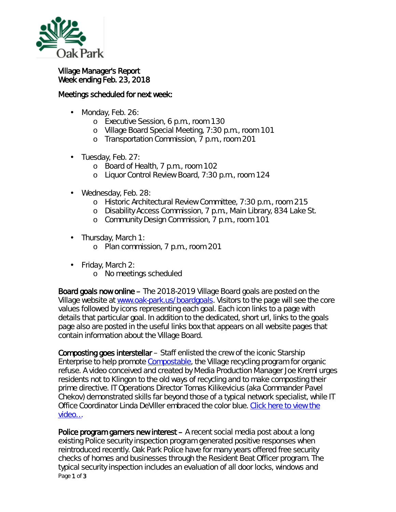

## Village Manager's Report Week ending Feb. 23, 2018

## Meetings scheduled for next week:

- Monday, Feb. 26: ä,
	- o Executive Session, 6 p.m., room 130
	- o Village Board Special Meeting, 7:30 p.m., room 101
	- o Transportation Commission, 7 p.m., room 201
- Tuesday, Feb. 27:
	- o Board of Health, 7 p.m., room 102
	- o Liquor Control Review Board, 7:30 p.m., room 124
- Wednesday, Feb. 28:
	- o Historic Architectural Review Committee, 7:30 p.m., room 215
	- o Disability Access Commission, 7 p.m., Main Library, 834 Lake St.
	- o Community Design Commission, 7 p.m., room 101
- ä, Thursday, March 1:
	- o Plan commission, 7 p.m., room 201
- Friday, March 2: ä,
	- o No meetings scheduled

Board goals now online – The 2018-2019 Village Board goals are posted on the Village website at [www.oak-park.us/boardgoals.](http://www.oak-park.us/boardgoals) Visitors to the page will see the core values followed by icons representing each goal. Each icon links to a page with details that particular goal. In addition to the dedicated, short url, links to the goals page also are posted in the *useful links* box that appears on all website pages that contain information about the Village Board.

Composting goes interstellar – Staff enlisted the crew of the iconic Starship Enterprise to help promote [Compostable,](https://www.oak-park.us/village-services/refuse-recycling/compostable-program) the Village recycling program for organic refuse. A video conceived and created by Media Production Manager Joe Kreml urges residents not to *Klingon* to the old ways of recycling and to make composting their prime directive. IT Operations Director Tomas Kilikevicius (aka Commander Pavel Chekov) demonstrated skills far beyond those of a typical network specialist, while IT Office Coordinator Linda DeViller embraced the color blue. [Click here to view the](https://youtu.be/etPQJJ9-qlY)  [video…](https://youtu.be/etPQJJ9-qlY)

Page 1 of 3 Police program garners new interest – A recent social media post about a long existing Police security inspection program generated positive responses when reintroduced recently. Oak Park Police have for many years offered free security checks of homes and businesses through the Resident Beat Officer program. The typical security inspection includes an evaluation of all door locks, windows and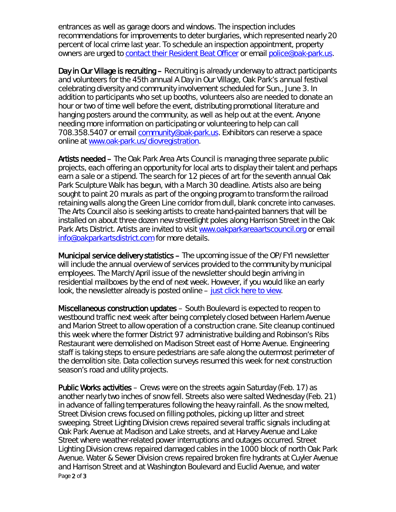entrances as well as garage doors and windows. The inspection includes recommendations for improvements to deter burglaries, which represented nearly 20 percent of local crime last year. To schedule an inspection appointment, property owners are urged to [contact their Resident Beat Officer](https://www.oak-park.us/village-services/police-department/get-know-your-rbo) or email [police@oak-park.us.](mailto:police@oak-park.us)

Day in Our Village is recruiting – Recruiting is already underway to attract participants and volunteers for the 45th annual *A Day in Our Village*, Oak Park's annual festival celebrating diversity and community involvement scheduled for Sun., June 3. In addition to participants who set up booths, volunteers also are needed to donate an hour or two of time well before the event, distributing promotional literature and hanging posters around the community, as well as help out at the event. Anyone needing more information on participating or volunteering to help can call 708.358.5407 or email [community@oak-park.us.](mailto:community@oak-park.us) Exhibitors can reserve a space online at [www.oak-park.us/diovregistration.](http://www.oak-park.us/diovregistration)

Artists needed – The Oak Park Area Arts Council is managing three separate public projects, each offering an opportunity for local arts to display their talent and perhaps earn a sale or a stipend. The search for 12 pieces of art for the seventh annual Oak Park Sculpture Walk has begun, with a March 30 deadline. Artists also are being sought to paint 20 murals as part of the ongoing program to transform the railroad retaining walls along the Green Line corridor from dull, blank concrete into canvases. The Arts Council also is seeking artists to create hand-painted banners that will be installed on about three dozen new streetlight poles along Harrison Street in the Oak Park Arts District. Artists are invited to visit [www.oakparkareaartscouncil.org](http://www.oakparkareaartscouncil.org/) or email [info@oakparkartsdistrict.com](mailto:info@oakparkartsdistrict.com) for more details.

Municipal service delivery statistics – The upcoming issue of the *OP/FYI* newsletter will include the annual overview of services provided to the community by municipal employees. The March/April issue of the newsletter should begin arriving in residential mailboxes by the end of next week. However, if you would like an early look, the newsletter already is posted online – [just click here to view.](https://www.oak-park.us/newsletters/marchapril-2018/2017-numbers-look-municipal-service-delivery)

Miscellaneous construction updates – South Boulevard is expected to reopen to westbound traffic next week after being completely closed between Harlem Avenue and Marion Street to allow operation of a construction crane. Site cleanup continued this week where the former District 97 administrative building and Robinson's Ribs Restaurant were demolished on Madison Street east of Home Avenue. Engineering staff is taking steps to ensure pedestrians are safe along the outermost perimeter of the demolition site. Data collection surveys resumed this week for next construction season's road and utility projects.

Page 2 of 3 Public Works activities – Crews were on the streets again Saturday (Feb. 17) as another nearly two inches of snow fell. Streets also were salted Wednesday (Feb. 21) in advance of falling temperatures following the heavy rainfall. As the snow melted, Street Division crews focused on filling potholes, picking up litter and street sweeping. Street Lighting Division crews repaired several traffic signals including at Oak Park Avenue at Madison and Lake streets, and at Harvey Avenue and Lake Street where weather-related power interruptions and outages occurred. Street Lighting Division crews repaired damaged cables in the 1000 block of north Oak Park Avenue. Water & Sewer Division crews repaired broken fire hydrants at Cuyler Avenue and Harrison Street and at Washington Boulevard and Euclid Avenue, and water